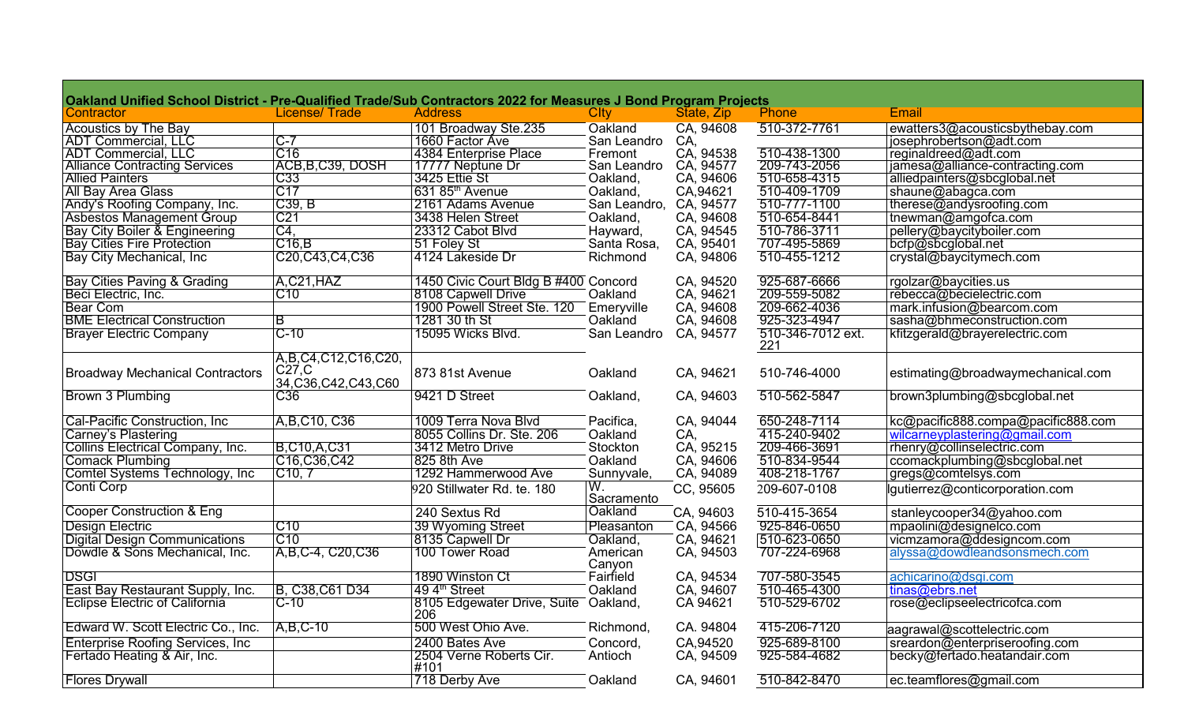| Oakland Unified School District - Pre-Qualified Trade/Sub Contractors 2022 for Measures J Bond Program Projects |                                                             |                                             |                    |                        |                          |                                    |
|-----------------------------------------------------------------------------------------------------------------|-------------------------------------------------------------|---------------------------------------------|--------------------|------------------------|--------------------------|------------------------------------|
| Contractor                                                                                                      | <b>License/Trade</b>                                        | <b>Address</b>                              | <b>Clty</b>        | State, Zip             | Phone                    | Email                              |
| <b>Acoustics by The Bay</b>                                                                                     |                                                             | 101 Broadway Ste.235                        | Oakland            | CA, 94608              | 510-372-7761             | ewatters3@acousticsbythebay.com    |
| <b>ADT Commercial, LLC</b>                                                                                      | $C-7$                                                       | 1660 Factor Ave                             | San Leandro        | CA,                    |                          | josephrobertson@adt.com            |
| <b>ADT Commercial, LLC</b>                                                                                      | C16                                                         | 4384 Enterprise Place                       | Fremont            | CA, 94538              | 510-438-1300             | reginaldreed@adt.com               |
| <b>Alliance Contracting Services</b>                                                                            | ACB, B, C39, DOSH                                           | 17777 Neptune Dr                            | San Leandro        | CA, 94577              | 209-743-2056             | jamesa@alliance-contracting.com    |
| <b>Allied Painters</b>                                                                                          | C <sub>33</sub>                                             | 3425 Ettie St                               | Oakland,           | CA, 94606              | 510-658-4315             | alliedpainters@sbcglobal.net       |
| All Bay Area Glass                                                                                              | C17                                                         | 631 85 <sup>th</sup> Avenue                 | Oakland,           | CA,94621               | 510-409-1709             | shaune@abagca.com                  |
| Andy's Roofing Company, Inc.                                                                                    | C39, B                                                      | 2161 Adams Avenue                           | San Leandro,       |                        | 510-777-1100             | therese@andysroofing.com           |
| Asbestos Management Group                                                                                       | C <sub>21</sub>                                             | 3438 Helen Street                           | Oakland,           | CA, 94577<br>CA, 94608 | 510-654-8441             | tnewman@amgofca.com                |
| Bay City Boiler & Engineering                                                                                   | C4,                                                         | 23312 Cabot Blvd                            | Hayward,           | CA, 94545              | 510-786-3711             | pellery@baycityboiler.com          |
|                                                                                                                 | C16,B                                                       | 51 Foley St                                 | Santa Rosa,        | CA, 95401              | 707-495-5869             | bcfp@sbcglobal.net                 |
| Bay Cities Fire Protection<br>Bay City Mechanical, Inc                                                          | C20, C43, C4, C36                                           | 4124 Lakeside Dr                            | Richmond           | CA, 94806              | 510-455-1212             | crystal@baycitymech.com            |
| <b>Bay Cities Paving &amp; Grading</b>                                                                          | A,C21,HAZ                                                   | 1450 Civic Court Bldg B #400                | Concord            | CA, 94520              | 925-687-6666             | rgolzar@baycities.us               |
| Beci Electric, Inc.<br>Bear Com                                                                                 | C10                                                         | 8108 Capwell Drive                          | Oakland            | CA, 94621              | 209-559-5082             | rebecca@becielectric.com           |
|                                                                                                                 |                                                             | 1900 Powell Street Ste. 120                 | Emeryville         | CA, 94608              | 209-662-4036             | mark.infusion@bearcom.com          |
| <b>BME Electrical Construction</b>                                                                              | В                                                           | 1281 30 th St                               | Oakland            | CA, 94608              | 925-323-4947             | sasha@bhmeconstruction.com         |
| <b>Brayer Electric Company</b>                                                                                  | $C-10$                                                      | 15095 Wicks Blvd.                           | San Leandro        | CA, 94577              | 510-346-7012 ext.<br>221 | kfitzgerald@brayerelectric.com     |
| <b>Broadway Mechanical Contractors</b>                                                                          | A, B, C4, C12, C16, C20,<br>C27,C<br>34, C36, C42, C43, C60 | 873 81st Avenue                             | Oakland            | CA, 94621              | 510-746-4000             | estimating@broadwaymechanical.com  |
| Brown 3 Plumbing                                                                                                | C36                                                         | 9421 D Street                               | Oakland,           | CA, 94603              | 510-562-5847             | brown3plumbing@sbcglobal.net       |
| Cal-Pacific Construction, Inc.                                                                                  | A, B, C10, C36                                              | 1009 Terra Nova Blvd                        | Pacifica,          | CA, 94044              | 650-248-7114             | kc@pacific888.compa@pacific888.com |
| Carney's Plastering                                                                                             |                                                             | 8055 Collins Dr. Ste. 206                   | Oakland            | CA,                    | 415-240-9402             | wilcarneyplastering@gmail.com      |
| Collins Electrical Company, Inc.                                                                                | B,C10,A,C31                                                 | 3412 Metro Drive                            | Stockton           | CA, 95215              | 209-466-3691             | rhenry@collinselectric.com         |
| <b>Comack Plumbing</b>                                                                                          | C16,C36,C42                                                 | 825 8th Ave                                 | Oakland            | CA, 94606              | 510-834-9544             | ccomackplumbing@sbcglobal.net      |
| Comtel Systems Technology, Inc                                                                                  | C10, 7                                                      | 1292 Hammerwood Ave                         | Sunnyvale,         | CA, 94089              | 408-218-1767             | gregs@comtelsys.com                |
| Conti Corp                                                                                                      |                                                             | 920 Stillwater Rd. te. 180                  | W.<br>Sacramento   | CC, 95605              | 209-607-0108             | lgutierrez@conticorporation.com    |
| <b>Cooper Construction &amp; Eng</b>                                                                            |                                                             | 240 Sextus Rd                               | Oakland            | CA, 94603              | 510-415-3654             | stanleycooper34@yahoo.com          |
| <b>Design Electric</b>                                                                                          | C10                                                         | 39 Wyoming Street                           | Pleasanton         | CA, 94566              | 925-846-0650             | mpaolini@designelco.com            |
| <b>Digital Design Communications</b>                                                                            | $ C10\rangle$                                               | 8135 Capwell Dr                             | Oakland,           | CA, 94621              | 510-623-0650             | vicmzamora@ddesigncom.com          |
| Dowdle & Sons Mechanical, Inc.                                                                                  | A, B, C-4, C20, C36                                         | 100 Tower Road                              | American<br>Canyon | CA, 94503              | 707-224-6968             | alyssa@dowdleandsonsmech.com       |
| <b>DSGI</b>                                                                                                     |                                                             | 1890 Winston Ct                             | Fairfield          | CA, 94534              | 707-580-3545             | achicarino@dsgi.com                |
| East Bay Restaurant Supply, Inc.                                                                                | B, C38, C61 D34                                             | 49 4 <sup>th</sup> Street                   | Oakland            | CA, 94607              | 510-465-4300             | tinas@ebrs.net                     |
| <b>Eclipse Electric of California</b>                                                                           | $C-10$                                                      | 8105 Edgewater Drive, Suite Oakland,<br>206 |                    | CA 94621               | 510-529-6702             | rose@eclipseelectricofca.com       |
| Edward W. Scott Electric Co., Inc.                                                                              | $A, B, C-10$                                                | 500 West Ohio Ave.                          | Richmond,          | CA. 94804              | 415-206-7120             | aagrawal@scottelectric.com         |
| <b>Enterprise Roofing Services, Inc.</b>                                                                        |                                                             | 2400 Bates Ave                              | Concord,           | CA,94520               | 925-689-8100             | sreardon@enterpriseroofing.com     |
| Fertado Heating & Air, Inc.                                                                                     |                                                             | 2504 Verne Roberts Cir.<br>#101             | Antioch            | CA, 94509              | 925-584-4682             | becky@fertado.heatandair.com       |
| <b>Flores Drywall</b>                                                                                           |                                                             | 718 Derby Ave                               | Oakland            | CA, 94601              | 510-842-8470             | ec.teamflores@gmail.com            |